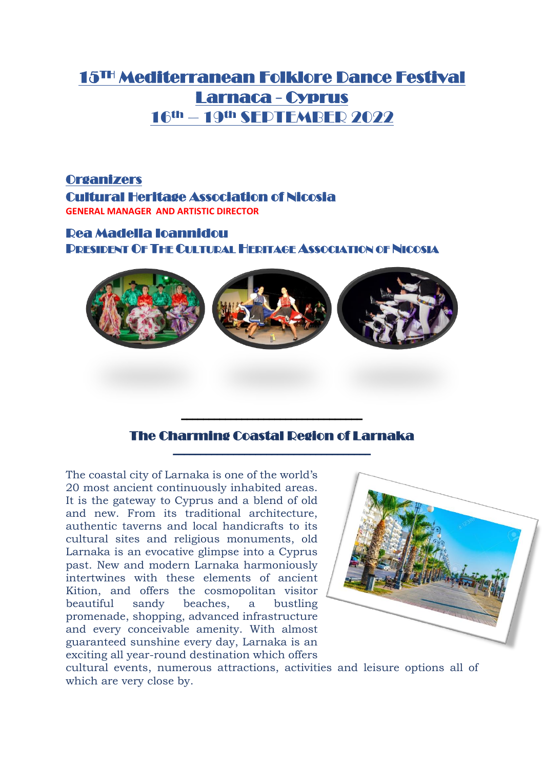## 15TH Mediterranean Folklore Dance Festival Larnaca - Cyprus 16th – 19th SEPTEMBER 2022

**Organizers** Cultural Heritage Association of Nicosia **GENERAL MANAGER AND ARTISTIC DIRECTOR** 

Rea Madella Ioannidou PRESIDENT OF THE CULTURAL HERITAGE ASSOCIATION OF NICOSIA



#### **The Charming Coastal Degion of Larnaka**

The coastal city of Larnaka is one of the world's 20 most ancient continuously inhabited areas. It is the gateway to Cyprus and a blend of old and new. From its traditional architecture, authentic taverns and local handicrafts to its cultural sites and religious monuments, old Larnaka is an evocative glimpse into a Cyprus past. New and modern Larnaka harmoniously intertwines with these elements of ancient Kition, and offers the cosmopolitan visitor beautiful sandy beaches, a bustling promenade, shopping, advanced infrastructure and every conceivable amenity. With almost guaranteed sunshine every day, Larnaka is an exciting all year-round destination which offers



cultural events, numerous attractions, activities and leisure options all of which are very close by.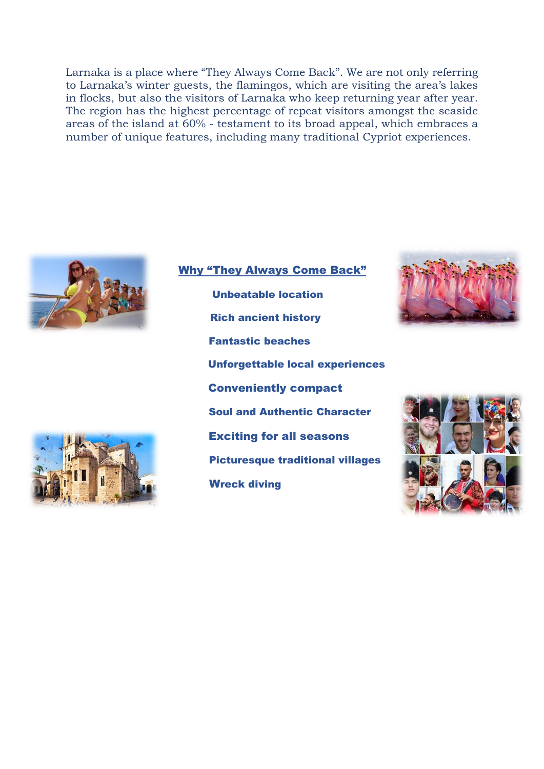Larnaka is a place where "They Always Come Back". We are not only referring to Larnaka's winter guests, the flamingos, which are visiting the area's lakes in flocks, but also the visitors of Larnaka who keep returning year after year. The region has the highest percentage of repeat visitors amongst the seaside areas of the island at 60% - testament to its broad appeal, which embraces a number of unique features, including many traditional Cypriot experiences.





Why "They Always Come Back" Unbeatable location Rich ancient history Fantastic beaches Unforgettable local experiences Conveniently compact Soul and Authentic Character Exciting for all seasons Picturesque traditional villages **Wreck diving** 



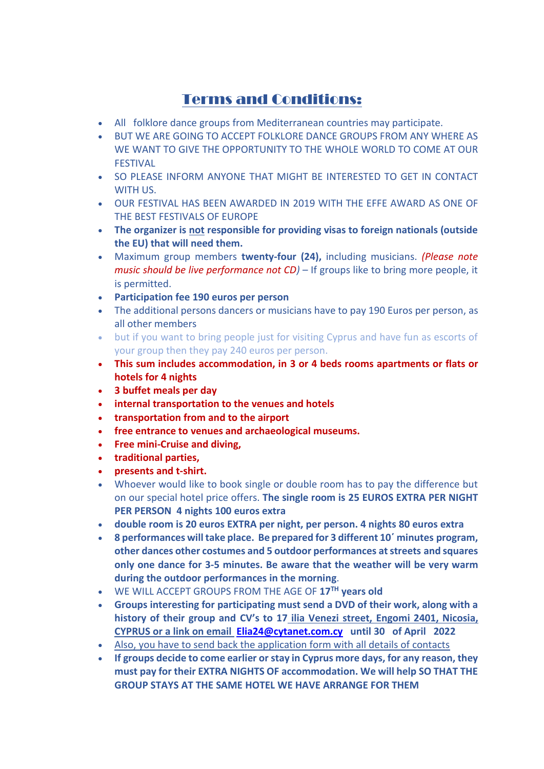## Terms and Conditions:

- All folklore dance groups from Mediterranean countries may participate.
- BUT WE ARE GOING TO ACCEPT FOLKLORE DANCE GROUPS FROM ANY WHERE AS WE WANT TO GIVE THE OPPORTUNITY TO THE WHOLE WORLD TO COME AT OUR **FFSTIVAL**
- SO PLEASE INFORM ANYONE THAT MIGHT BE INTERESTED TO GET IN CONTACT WITH US.
- OUR FESTIVAL HAS BEEN AWARDED IN 2019 WITH THE EFFE AWARD AS ONE OF THE BEST FESTIVALS OF EUROPE
- **The organizer is not responsible for providing visas to foreign nationals (outside the EU) that will need them.**
- Maximum group members **twenty-four (24),** including musicians. *(Please note music should be live performance not CD)* – If groups like to bring more people, it is permitted.
- **Participation fee 190 euros per person**
- The additional persons dancers or musicians have to pay 190 Euros per person, as all other members
- but if you want to bring people just for visiting Cyprus and have fun as escorts of your group then they pay 240 euros per person.
- **This sum includes accommodation, in 3 or 4 beds rooms apartments or flats or hotels for 4 nights**
- **3 buffet meals per day**
- **internal transportation to the venues and hotels**
- **transportation from and to the airport**
- **free entrance to venues and archaeological museums.**
- **Free mini-Cruise and diving,**
- **traditional parties,**
- **presents and t-shirt.**
- Whoever would like to book single or double room has to pay the difference but on our special hotel price offers. **The single room is 25 EUROS EXTRA PER NIGHT PER PERSON 4 nights 100 euros extra**
- **double room is 20 euros EXTRA per night, per person. 4 nights 80 euros extra**
- **8 performances will take place. Be prepared for 3 different 10΄ minutes program, other dances other costumes and 5 outdoor performances at streets and squares only one dance for 3-5 minutes. Be aware that the weather will be very warm during the outdoor performances in the morning**.
- WE WILL ACCEPT GROUPS FROM THE AGE OF **17TH years old**
- **Groups interesting for participating must send a DVD of their work, along with a history of their group and CV's to 17 ilia Venezi street, Engomi 2401, Nicosia, CYPRUS or a link on email [Elia24@cytanet.com.cy](mailto:Elia24@cytanet.com.cy) until 30 of April 2022**
- Also, you have to send back the application form with all details of contacts
- **If groups decide to come earlier or stay in Cyprus more days, for any reason, they must pay for their EXTRA NIGHTS OF accommodation. We will help SO THAT THE GROUP STAYS AT THE SAME HOTEL WE HAVE ARRANGE FOR THEM**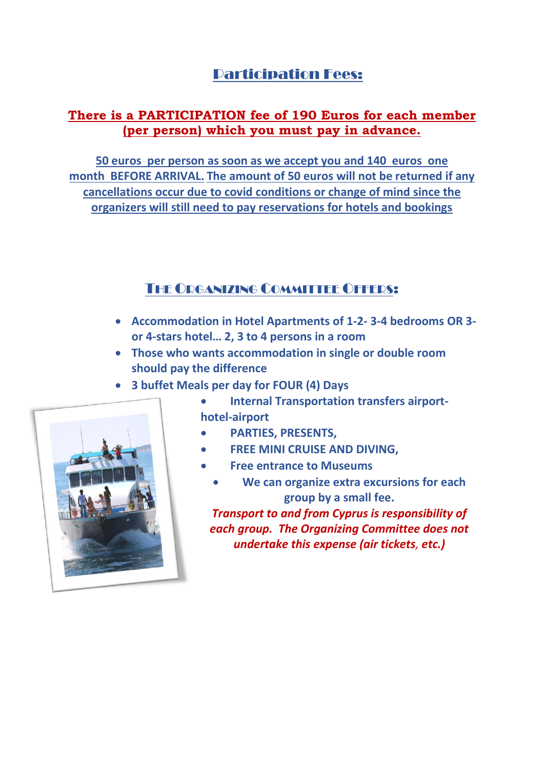## Participation Fees:

#### **There is a PARTICIPATION fee of 190 Euros for each member (per person) which you must pay in advance.**

**50 euros per person as soon as we accept you and 140 euros one month BEFORE ARRIVAL. The amount of 50 euros will not be returned if any cancellations occur due to covid conditions or change of mind since the organizers will still need to pay reservations for hotels and bookings**

### THE ORGANIZING COMMITTEE OFFERS:

- **Accommodation in Hotel Apartments of 1-2- 3-4 bedrooms OR 3 or 4-stars hotel… 2, 3 to 4 persons in a room**
- **Those who wants accommodation in single or double room should pay the difference**
- **3 buffet Meals per day for FOUR (4) Days**



- **Internal Transportation transfers airporthotel-airport**
- **PARTIES, PRESENTS,**
- **FREE MINI CRUISE AND DIVING,**
- **Free entrance to Museums**
	- **We can organize extra excursions for each group by a small fee.**

*Transport to and from Cyprus is responsibility of each group. The Organizing Committee does not undertake this expense (air tickets, etc.)*